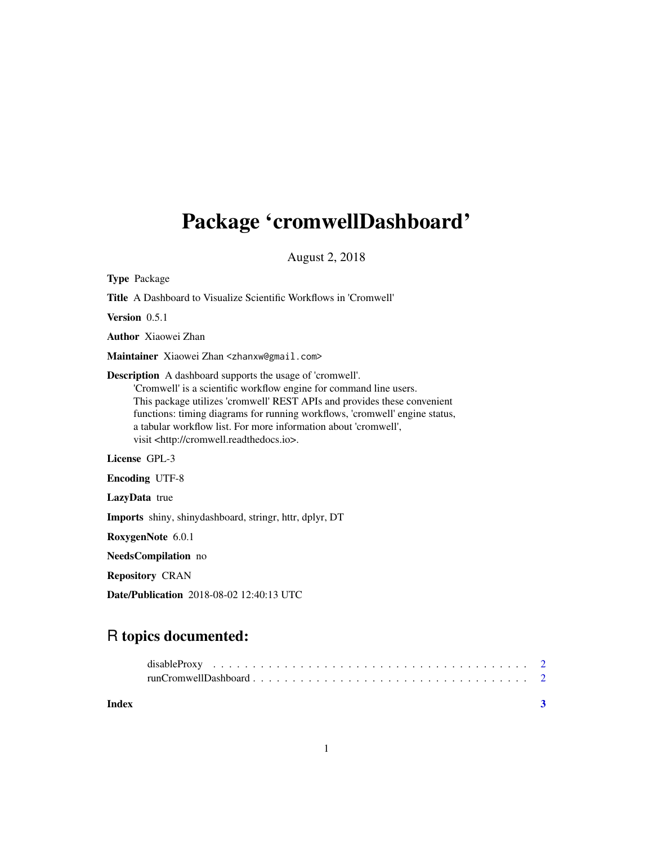## Package 'cromwellDashboard'

August 2, 2018

| <b>Type Package</b>                                                                                                                                                                                                                                                                                                                                                                                                       |
|---------------------------------------------------------------------------------------------------------------------------------------------------------------------------------------------------------------------------------------------------------------------------------------------------------------------------------------------------------------------------------------------------------------------------|
| <b>Title</b> A Dashboard to Visualize Scientific Workflows in 'Cromwell'                                                                                                                                                                                                                                                                                                                                                  |
| Version 0.5.1                                                                                                                                                                                                                                                                                                                                                                                                             |
| <b>Author</b> Xiaowei Zhan                                                                                                                                                                                                                                                                                                                                                                                                |
| Maintainer Xiaowei Zhan <zhanxw@gmail.com></zhanxw@gmail.com>                                                                                                                                                                                                                                                                                                                                                             |
| <b>Description</b> A dashboard supports the usage of 'cromwell'.<br>'Cromwell' is a scientific workflow engine for command line users.<br>This package utilizes 'cromwell' REST APIs and provides these convenient<br>functions: timing diagrams for running workflows, 'cromwell' engine status,<br>a tabular workflow list. For more information about 'cromwell',<br>visit <http: cromwell.readthedocs.io="">.</http:> |
| License GPL-3                                                                                                                                                                                                                                                                                                                                                                                                             |
| <b>Encoding UTF-8</b>                                                                                                                                                                                                                                                                                                                                                                                                     |
| LazyData true                                                                                                                                                                                                                                                                                                                                                                                                             |
| <b>Imports</b> shiny, shinydashboard, stringr, httr, dplyr, DT                                                                                                                                                                                                                                                                                                                                                            |
| RoxygenNote 6.0.1                                                                                                                                                                                                                                                                                                                                                                                                         |
| <b>NeedsCompilation</b> no                                                                                                                                                                                                                                                                                                                                                                                                |
| <b>Repository CRAN</b>                                                                                                                                                                                                                                                                                                                                                                                                    |

Date/Publication 2018-08-02 12:40:13 UTC

### R topics documented:

| Index |  |
|-------|--|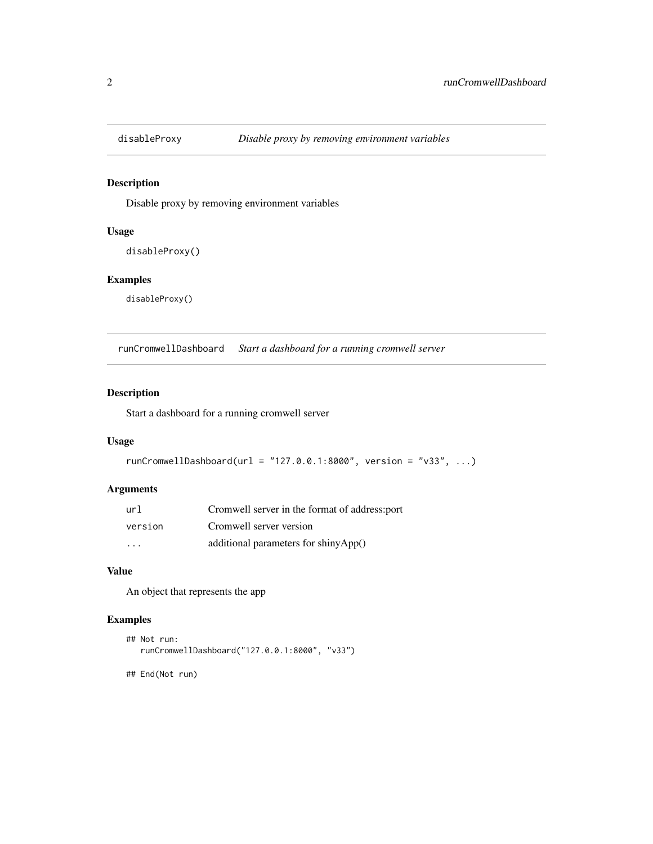<span id="page-1-0"></span>

#### Description

Disable proxy by removing environment variables

#### Usage

disableProxy()

#### Examples

disableProxy()

runCromwellDashboard *Start a dashboard for a running cromwell server*

#### Description

Start a dashboard for a running cromwell server

#### Usage

```
runCromwellDashboard(url = "127.0.0.1:8000", version = "v33", ...)
```
#### Arguments

| url                     | Cromwell server in the format of address: port |
|-------------------------|------------------------------------------------|
| version                 | Cromwell server version                        |
| $\cdot$ $\cdot$ $\cdot$ | additional parameters for shiny $App()$        |

#### Value

An object that represents the app

#### Examples

```
## Not run:
runCromwellDashboard("127.0.0.1:8000", "v33")
```
## End(Not run)